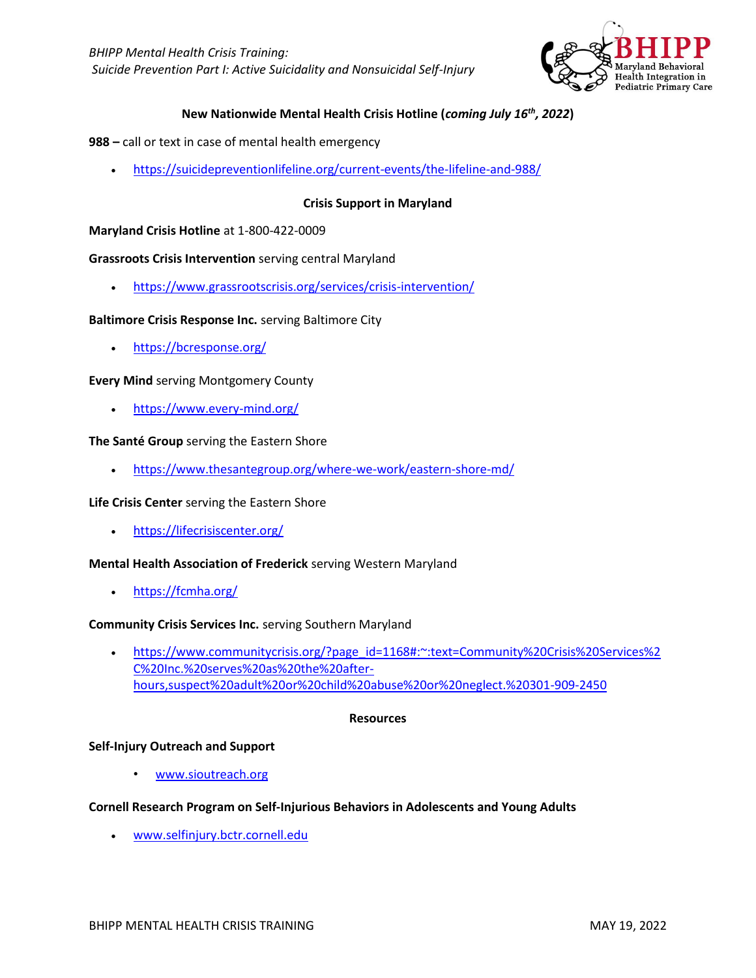

# **New Nationwide Mental Health Crisis Hotline (***coming July 16th, 2022***)**

- **988 –** call or text in case of mental health emergency
	- <https://suicidepreventionlifeline.org/current-events/the-lifeline-and-988/>

## **Crisis Support in Maryland**

### **Maryland Crisis Hotline** at 1-800-422-0009

### **Grassroots Crisis Intervention** serving central Maryland

• <https://www.grassrootscrisis.org/services/crisis-intervention/>

### **Baltimore Crisis Response Inc.** serving Baltimore City

• <https://bcresponse.org/>

## **Every Mind** serving Montgomery County

• <https://www.every-mind.org/>

## **The Santé Group** serving the Eastern Shore

• <https://www.thesantegroup.org/where-we-work/eastern-shore-md/>

### **Life Crisis Center** serving the Eastern Shore

• <https://lifecrisiscenter.org/>

### **Mental Health Association of Frederick** serving Western Maryland

• <https://fcmha.org/>

### **Community Crisis Services Inc.** serving Southern Maryland

• [https://www.communitycrisis.org/?page\\_id=1168#:~:text=Community%20Crisis%20Services%2](https://www.communitycrisis.org/?page_id=1168#:~:text=Community%20Crisis%20Services%2C%20Inc.%20serves%20as%20the%20after-hours,suspect%20adult%20or%20child%20abuse%20or%20neglect.%20301-909-2450) [C%20Inc.%20serves%20as%20the%20after](https://www.communitycrisis.org/?page_id=1168#:~:text=Community%20Crisis%20Services%2C%20Inc.%20serves%20as%20the%20after-hours,suspect%20adult%20or%20child%20abuse%20or%20neglect.%20301-909-2450)[hours,suspect%20adult%20or%20child%20abuse%20or%20neglect.%20301-909-2450](https://www.communitycrisis.org/?page_id=1168#:~:text=Community%20Crisis%20Services%2C%20Inc.%20serves%20as%20the%20after-hours,suspect%20adult%20or%20child%20abuse%20or%20neglect.%20301-909-2450)

### **Resources**

### **Self-Injury Outreach and Support**

[www.sioutreach.org](http://www.sioutreach.org/)

### **Cornell Research Program on Self-Injurious Behaviors in Adolescents and Young Adults**

• [www.selfinjury.bctr.cornell.edu](http://www.selfinjury.bctr.cornell.edu/)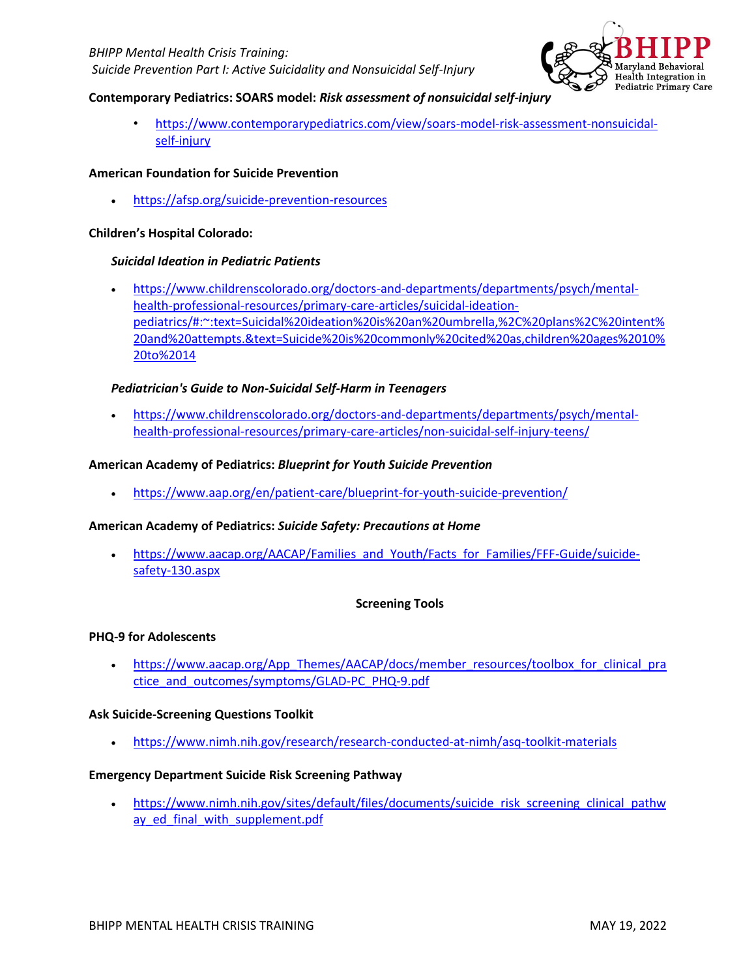

## **Contemporary Pediatrics: SOARS model:** *Risk assessment of nonsuicidal self-injury*

• [https://www.contemporarypediatrics.com/view/soars-model-risk-assessment-nonsuicidal](https://www.contemporarypediatrics.com/view/soars-model-risk-assessment-nonsuicidal-self-injury)[self-injury](https://www.contemporarypediatrics.com/view/soars-model-risk-assessment-nonsuicidal-self-injury)

## **American Foundation for Suicide Prevention**

• <https://afsp.org/suicide-prevention-resources>

## **Children's Hospital Colorado:**

## *Suicidal Ideation in Pediatric Patients*

• [https://www.childrenscolorado.org/doctors-and-departments/departments/psych/mental](https://www.childrenscolorado.org/doctors-and-departments/departments/psych/mental-health-professional-resources/primary-care-articles/suicidal-ideation-pediatrics/#:~:text=Suicidal%20ideation%20is%20an%20umbrella,%2C%20plans%2C%20intent%20and%20attempts.&text=Suicide%20is%20commonly%20cited%20as,children%20ages%2010%20to%2014)[health-professional-resources/primary-care-articles/suicidal-ideation](https://www.childrenscolorado.org/doctors-and-departments/departments/psych/mental-health-professional-resources/primary-care-articles/suicidal-ideation-pediatrics/#:~:text=Suicidal%20ideation%20is%20an%20umbrella,%2C%20plans%2C%20intent%20and%20attempts.&text=Suicide%20is%20commonly%20cited%20as,children%20ages%2010%20to%2014)[pediatrics/#:~:text=Suicidal%20ideation%20is%20an%20umbrella,%2C%20plans%2C%20intent%](https://www.childrenscolorado.org/doctors-and-departments/departments/psych/mental-health-professional-resources/primary-care-articles/suicidal-ideation-pediatrics/#:~:text=Suicidal%20ideation%20is%20an%20umbrella,%2C%20plans%2C%20intent%20and%20attempts.&text=Suicide%20is%20commonly%20cited%20as,children%20ages%2010%20to%2014) [20and%20attempts.&text=Suicide%20is%20commonly%20cited%20as,children%20ages%2010%](https://www.childrenscolorado.org/doctors-and-departments/departments/psych/mental-health-professional-resources/primary-care-articles/suicidal-ideation-pediatrics/#:~:text=Suicidal%20ideation%20is%20an%20umbrella,%2C%20plans%2C%20intent%20and%20attempts.&text=Suicide%20is%20commonly%20cited%20as,children%20ages%2010%20to%2014) [20to%2014](https://www.childrenscolorado.org/doctors-and-departments/departments/psych/mental-health-professional-resources/primary-care-articles/suicidal-ideation-pediatrics/#:~:text=Suicidal%20ideation%20is%20an%20umbrella,%2C%20plans%2C%20intent%20and%20attempts.&text=Suicide%20is%20commonly%20cited%20as,children%20ages%2010%20to%2014)

## *Pediatrician's Guide to Non-Suicidal Self-Harm in Teenagers*

• [https://www.childrenscolorado.org/doctors-and-departments/departments/psych/mental](https://www.childrenscolorado.org/doctors-and-departments/departments/psych/mental-health-professional-resources/primary-care-articles/non-suicidal-self-injury-teens/)[health-professional-resources/primary-care-articles/non-suicidal-self-injury-teens/](https://www.childrenscolorado.org/doctors-and-departments/departments/psych/mental-health-professional-resources/primary-care-articles/non-suicidal-self-injury-teens/)

## **American Academy of Pediatrics:** *Blueprint for Youth Suicide Prevention*

• <https://www.aap.org/en/patient-care/blueprint-for-youth-suicide-prevention/>

### **American Academy of Pediatrics:** *Suicide Safety: Precautions at Home*

[https://www.aacap.org/AACAP/Families\\_and\\_Youth/Facts\\_for\\_Families/FFF-Guide/suicide](https://www.aacap.org/AACAP/Families_and_Youth/Facts_for_Families/FFF-Guide/suicide-safety-130.aspx)[safety-130.aspx](https://www.aacap.org/AACAP/Families_and_Youth/Facts_for_Families/FFF-Guide/suicide-safety-130.aspx)

## **Screening Tools**

### **PHQ-9 for Adolescents**

[https://www.aacap.org/App\\_Themes/AACAP/docs/member\\_resources/toolbox\\_for\\_clinical\\_pra](https://www.aacap.org/App_Themes/AACAP/docs/member_resources/toolbox_for_clinical_practice_and_outcomes/symptoms/GLAD-PC_PHQ-9.pdf) [ctice\\_and\\_outcomes/symptoms/GLAD-PC\\_PHQ-9.pdf](https://www.aacap.org/App_Themes/AACAP/docs/member_resources/toolbox_for_clinical_practice_and_outcomes/symptoms/GLAD-PC_PHQ-9.pdf)

### **Ask Suicide-Screening Questions Toolkit**

• <https://www.nimh.nih.gov/research/research-conducted-at-nimh/asq-toolkit-materials>

### **Emergency Department Suicide Risk Screening Pathway**

[https://www.nimh.nih.gov/sites/default/files/documents/suicide\\_risk\\_screening\\_clinical\\_pathw](https://www.nimh.nih.gov/sites/default/files/documents/suicide_risk_screening_clinical_pathway_ed_final_with_supplement.pdf) ay ed final with supplement.pdf